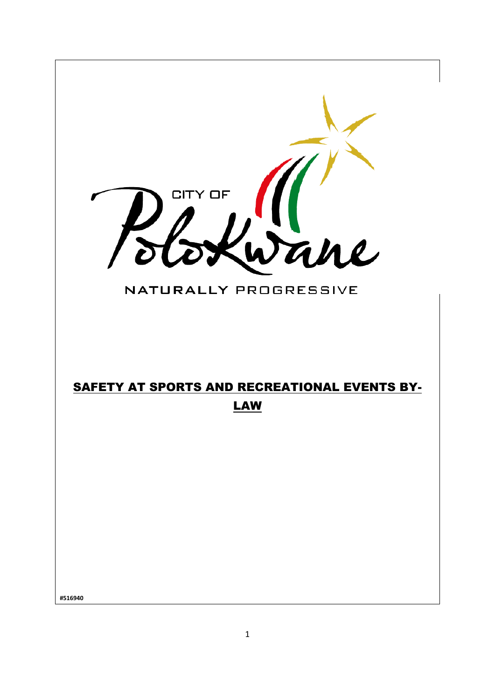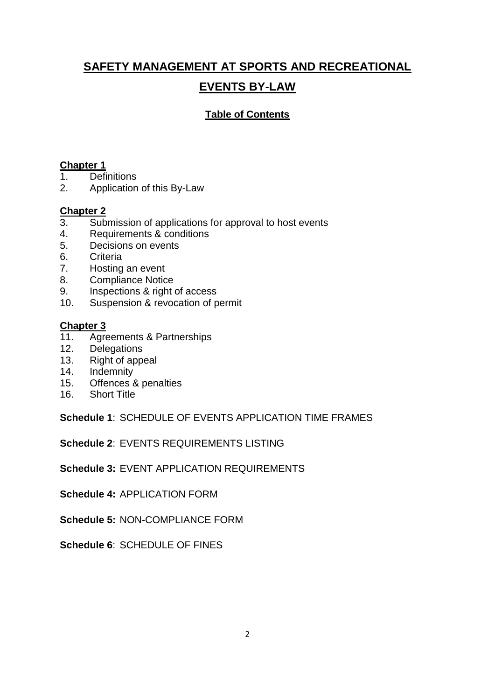# **SAFETY MANAGEMENT AT SPORTS AND RECREATIONAL EVENTS BY-LAW**

# **Table of Contents**

# **Chapter 1**

- 1. Definitions
- 2. Application of this By-Law

# **Chapter 2**<br>3. Sub

- Submission of applications for approval to host events
- 4. Requirements & conditions
- 5. Decisions on events
- 6. Criteria
- 7. Hosting an event
- 8. Compliance Notice
- 9. Inspections & right of access
- 10. Suspension & revocation of permit

# **Chapter 3**

- 11. Agreements & Partnerships
- 12. Delegations
- 13. Right of appeal
- 14. Indemnity
- 15. Offences & penalties
- 16. Short Title

**Schedule 1**: SCHEDULE OF EVENTS APPLICATION TIME FRAMES

**Schedule 2**: EVENTS REQUIREMENTS LISTING

**Schedule 3:** EVENT APPLICATION REQUIREMENTS

**Schedule 4:** APPLICATION FORM

**Schedule 5:** NON-COMPLIANCE FORM

**Schedule 6**: SCHEDULE OF FINES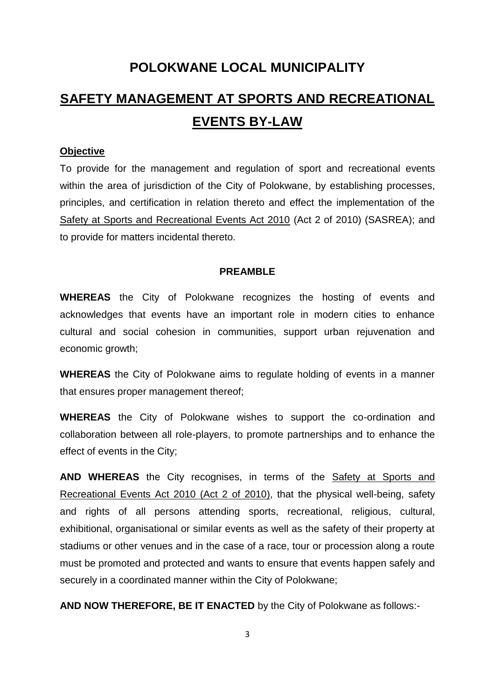# **POLOKWANE LOCAL MUNICIPALITY**

# **SAFETY MANAGEMENT AT SPORTS AND RECREATIONAL EVENTS BY-LAW**

#### **Objective**

To provide for the management and regulation of sport and recreational events within the area of jurisdiction of the City of Polokwane, by establishing processes, principles, and certification in relation thereto and effect the implementation of the Safety at Sports and Recreational Events Act 2010 (Act 2 of 2010) (SASREA); and to provide for matters incidental thereto.

#### **PREAMBLE**

**WHEREAS** the City of Polokwane recognizes the hosting of events and acknowledges that events have an important role in modern cities to enhance cultural and social cohesion in communities, support urban rejuvenation and economic growth;

**WHEREAS** the City of Polokwane aims to regulate holding of events in a manner that ensures proper management thereof;

**WHEREAS** the City of Polokwane wishes to support the co-ordination and collaboration between all role-players, to promote partnerships and to enhance the effect of events in the City;

**AND WHEREAS** the City recognises, in terms of the Safety at Sports and Recreational Events Act 2010 (Act 2 of 2010), that the physical well-being, safety and rights of all persons attending sports, recreational, religious, cultural, exhibitional, organisational or similar events as well as the safety of their property at stadiums or other venues and in the case of a race, tour or procession along a route must be promoted and protected and wants to ensure that events happen safely and securely in a coordinated manner within the City of Polokwane;

**AND NOW THEREFORE, BE IT ENACTED** by the City of Polokwane as follows:-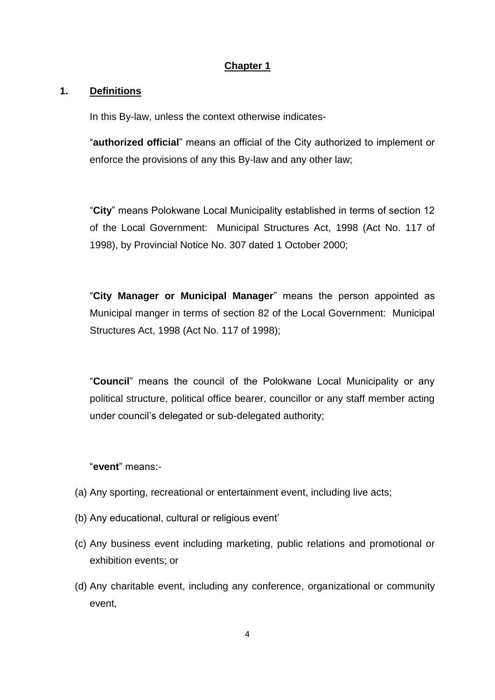# **Chapter 1**

## **1. Definitions**

In this By-law, unless the context otherwise indicates-

"**authorized official**" means an official of the City authorized to implement or enforce the provisions of any this By-law and any other law;

"**City**" means Polokwane Local Municipality established in terms of section 12 of the Local Government: Municipal Structures Act, 1998 (Act No. 117 of 1998), by Provincial Notice No. 307 dated 1 October 2000;

"**City Manager or Municipal Manager**" means the person appointed as Municipal manger in terms of section 82 of the Local Government: Municipal Structures Act, 1998 (Act No. 117 of 1998);

"**Council**" means the council of the Polokwane Local Municipality or any political structure, political office bearer, councillor or any staff member acting under council's delegated or sub-delegated authority;

## "**event**" means:-

- (a) Any sporting, recreational or entertainment event, including live acts;
- (b) Any educational, cultural or religious event'
- (c) Any business event including marketing, public relations and promotional or exhibition events; or
- (d) Any charitable event, including any conference, organizational or community event,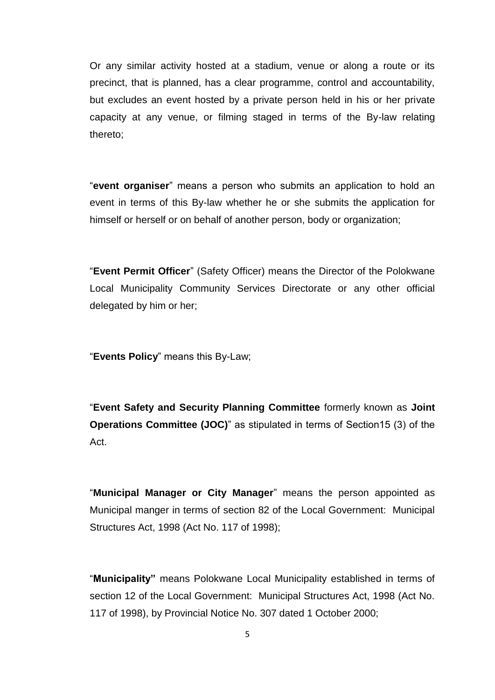Or any similar activity hosted at a stadium, venue or along a route or its precinct, that is planned, has a clear programme, control and accountability, but excludes an event hosted by a private person held in his or her private capacity at any venue, or filming staged in terms of the By-law relating thereto;

"**event organiser**" means a person who submits an application to hold an event in terms of this By-law whether he or she submits the application for himself or herself or on behalf of another person, body or organization;

"**Event Permit Officer**" (Safety Officer) means the Director of the Polokwane Local Municipality Community Services Directorate or any other official delegated by him or her;

"**Events Policy**" means this By-Law;

"**Event Safety and Security Planning Committee** formerly known as **Joint Operations Committee (JOC)**" as stipulated in terms of Section15 (3) of the Act.

"**Municipal Manager or City Manager**" means the person appointed as Municipal manger in terms of section 82 of the Local Government: Municipal Structures Act, 1998 (Act No. 117 of 1998);

"**Municipality"** means Polokwane Local Municipality established in terms of section 12 of the Local Government: Municipal Structures Act, 1998 (Act No. 117 of 1998), by Provincial Notice No. 307 dated 1 October 2000;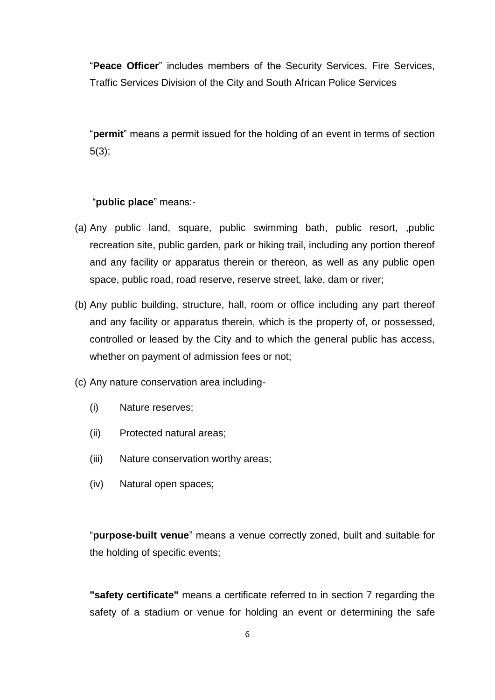"**Peace Officer**" includes members of the Security Services, Fire Services, Traffic Services Division of the City and South African Police Services

"**permit**" means a permit issued for the holding of an event in terms of section 5(3);

## "**public place**" means:-

- (a) Any public land, square, public swimming bath, public resort, ,public recreation site, public garden, park or hiking trail, including any portion thereof and any facility or apparatus therein or thereon, as well as any public open space, public road, road reserve, reserve street, lake, dam or river;
- (b) Any public building, structure, hall, room or office including any part thereof and any facility or apparatus therein, which is the property of, or possessed, controlled or leased by the City and to which the general public has access, whether on payment of admission fees or not;
- (c) Any nature conservation area including-
	- (i) Nature reserves;
	- (ii) Protected natural areas;
	- (iii) Nature conservation worthy areas;
	- (iv) Natural open spaces;

"**purpose-built venue**" means a venue correctly zoned, built and suitable for the holding of specific events;

**"safety certificate"** means a certificate referred to in section 7 regarding the safety of a stadium or venue for holding an event or determining the safe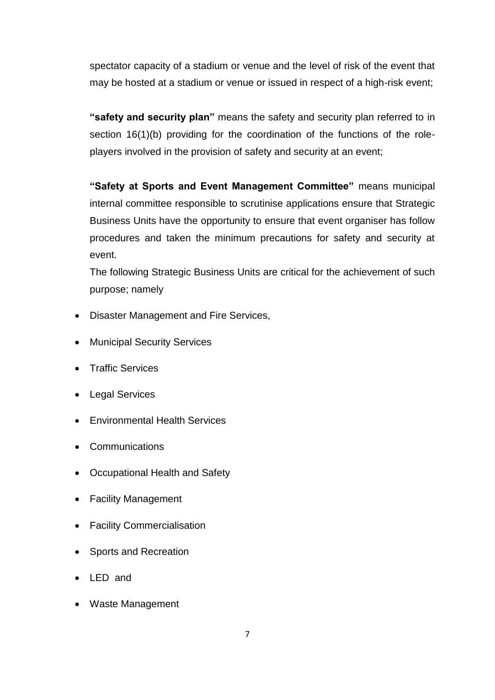spectator capacity of a stadium or venue and the level of risk of the event that may be hosted at a stadium or venue or issued in respect of a high-risk event;

**"safety and security plan"** means the safety and security plan referred to in section 16(1)(b) providing for the coordination of the functions of the roleplayers involved in the provision of safety and security at an event;

**"Safety at Sports and Event Management Committee"** means municipal internal committee responsible to scrutinise applications ensure that Strategic Business Units have the opportunity to ensure that event organiser has follow procedures and taken the minimum precautions for safety and security at event.

The following Strategic Business Units are critical for the achievement of such purpose; namely

- Disaster Management and Fire Services,
- Municipal Security Services
- Traffic Services
- Legal Services
- Environmental Health Services
- **Communications**
- Occupational Health and Safety
- Facility Management
- Facility Commercialisation
- Sports and Recreation
- LED and
- Waste Management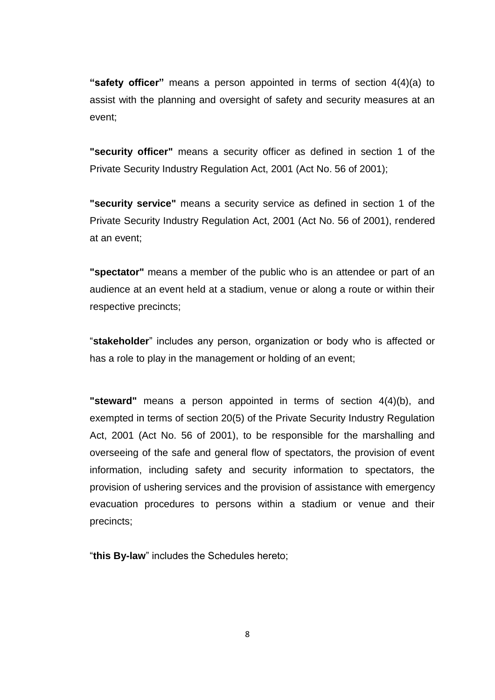**"safety officer"** means a person appointed in terms of section 4(4)(a) to assist with the planning and oversight of safety and security measures at an event;

**"security officer"** means a security officer as defined in section 1 of the Private Security Industry Regulation Act, 2001 (Act No. 56 of 2001);

**"security service"** means a security service as defined in section 1 of the Private Security Industry Regulation Act, 2001 (Act No. 56 of 2001), rendered at an event;

**"spectator"** means a member of the public who is an attendee or part of an audience at an event held at a stadium, venue or along a route or within their respective precincts;

"**stakeholder**" includes any person, organization or body who is affected or has a role to play in the management or holding of an event;

**"steward"** means a person appointed in terms of section 4(4)(b), and exempted in terms of section 20(5) of the Private Security Industry Regulation Act, 2001 (Act No. 56 of 2001), to be responsible for the marshalling and overseeing of the safe and general flow of spectators, the provision of event information, including safety and security information to spectators, the provision of ushering services and the provision of assistance with emergency evacuation procedures to persons within a stadium or venue and their precincts;

"**this By-law**" includes the Schedules hereto;

8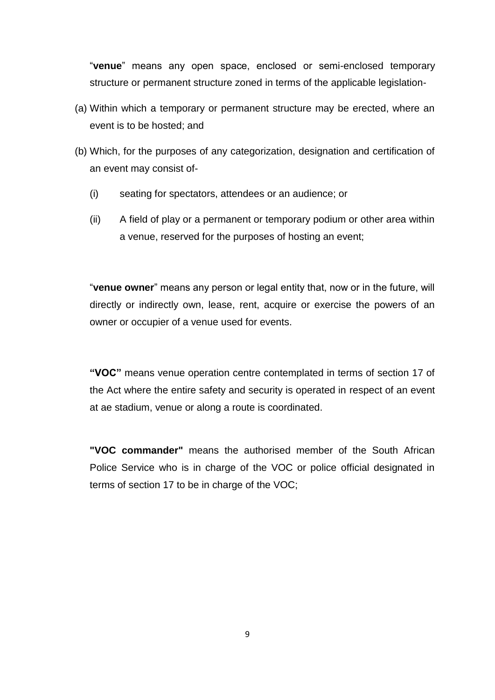"**venue**" means any open space, enclosed or semi-enclosed temporary structure or permanent structure zoned in terms of the applicable legislation-

- (a) Within which a temporary or permanent structure may be erected, where an event is to be hosted; and
- (b) Which, for the purposes of any categorization, designation and certification of an event may consist of-
	- (i) seating for spectators, attendees or an audience; or
	- (ii) A field of play or a permanent or temporary podium or other area within a venue, reserved for the purposes of hosting an event;

"**venue owner**" means any person or legal entity that, now or in the future, will directly or indirectly own, lease, rent, acquire or exercise the powers of an owner or occupier of a venue used for events.

**"VOC"** means venue operation centre contemplated in terms of section 17 of the Act where the entire safety and security is operated in respect of an event at ae stadium, venue or along a route is coordinated.

**"VOC commander"** means the authorised member of the South African Police Service who is in charge of the VOC or police official designated in terms of section 17 to be in charge of the VOC;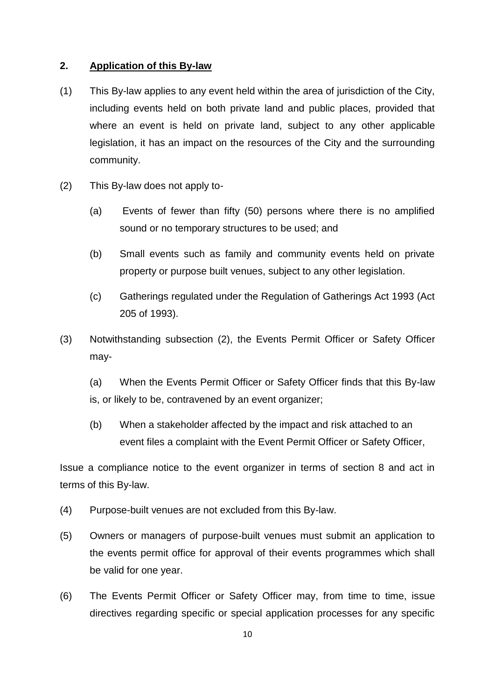#### **2. Application of this By-law**

- (1) This By-law applies to any event held within the area of jurisdiction of the City, including events held on both private land and public places, provided that where an event is held on private land, subject to any other applicable legislation, it has an impact on the resources of the City and the surrounding community.
- (2) This By-law does not apply to-
	- (a) Events of fewer than fifty (50) persons where there is no amplified sound or no temporary structures to be used; and
	- (b) Small events such as family and community events held on private property or purpose built venues, subject to any other legislation.
	- (c) Gatherings regulated under the Regulation of Gatherings Act 1993 (Act 205 of 1993).
- (3) Notwithstanding subsection (2), the Events Permit Officer or Safety Officer may-
	- (a) When the Events Permit Officer or Safety Officer finds that this By-law is, or likely to be, contravened by an event organizer;
	- (b) When a stakeholder affected by the impact and risk attached to an event files a complaint with the Event Permit Officer or Safety Officer,

Issue a compliance notice to the event organizer in terms of section 8 and act in terms of this By-law.

- (4) Purpose-built venues are not excluded from this By-law.
- (5) Owners or managers of purpose-built venues must submit an application to the events permit office for approval of their events programmes which shall be valid for one year.
- (6) The Events Permit Officer or Safety Officer may, from time to time, issue directives regarding specific or special application processes for any specific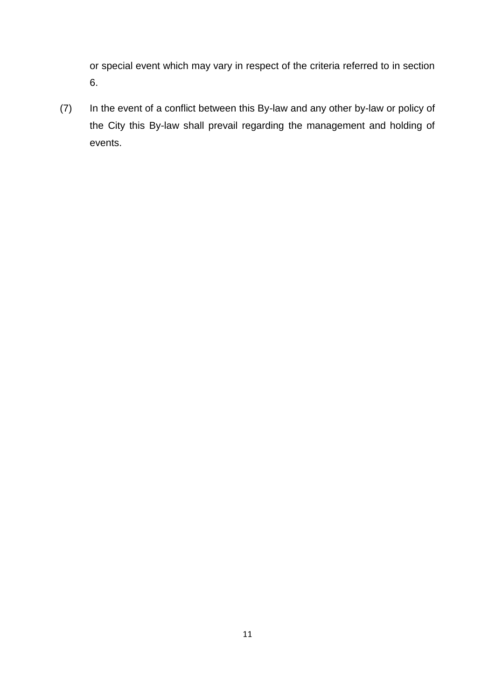or special event which may vary in respect of the criteria referred to in section 6.

(7) In the event of a conflict between this By-law and any other by-law or policy of the City this By-law shall prevail regarding the management and holding of events.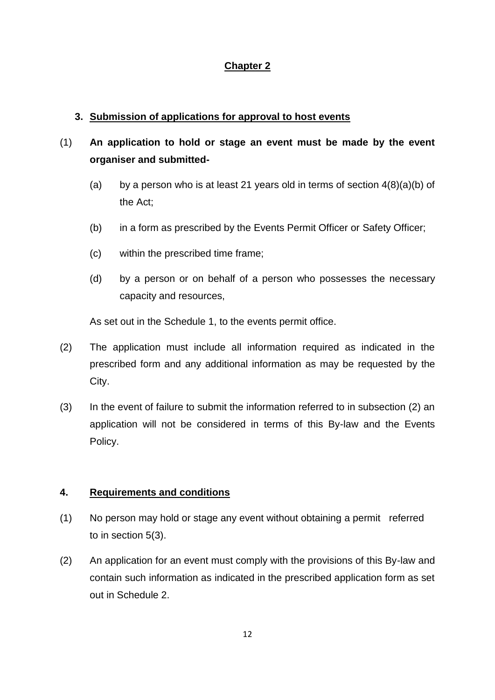# **Chapter 2**

## **3. Submission of applications for approval to host events**

# (1) **An application to hold or stage an event must be made by the event organiser and submitted-**

- (a) by a person who is at least 21 years old in terms of section  $4(8)(a)(b)$  of the Act;
- (b) in a form as prescribed by the Events Permit Officer or Safety Officer;
- (c) within the prescribed time frame;
- (d) by a person or on behalf of a person who possesses the necessary capacity and resources,

As set out in the Schedule 1, to the events permit office.

- (2) The application must include all information required as indicated in the prescribed form and any additional information as may be requested by the City.
- (3) In the event of failure to submit the information referred to in subsection (2) an application will not be considered in terms of this By-law and the Events Policy.

## **4. Requirements and conditions**

- (1) No person may hold or stage any event without obtaining a permit referred to in section 5(3).
- (2) An application for an event must comply with the provisions of this By-law and contain such information as indicated in the prescribed application form as set out in Schedule 2.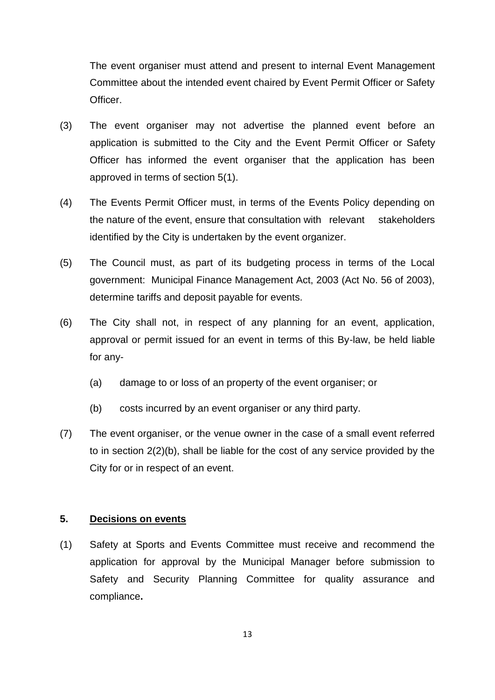The event organiser must attend and present to internal Event Management Committee about the intended event chaired by Event Permit Officer or Safety Officer.

- (3) The event organiser may not advertise the planned event before an application is submitted to the City and the Event Permit Officer or Safety Officer has informed the event organiser that the application has been approved in terms of section 5(1).
- (4) The Events Permit Officer must, in terms of the Events Policy depending on the nature of the event, ensure that consultation with relevant stakeholders identified by the City is undertaken by the event organizer.
- (5) The Council must, as part of its budgeting process in terms of the Local government: Municipal Finance Management Act, 2003 (Act No. 56 of 2003), determine tariffs and deposit payable for events.
- (6) The City shall not, in respect of any planning for an event, application, approval or permit issued for an event in terms of this By-law, be held liable for any-
	- (a) damage to or loss of an property of the event organiser; or
	- (b) costs incurred by an event organiser or any third party.
- (7) The event organiser, or the venue owner in the case of a small event referred to in section 2(2)(b), shall be liable for the cost of any service provided by the City for or in respect of an event.

#### **5. Decisions on events**

(1) Safety at Sports and Events Committee must receive and recommend the application for approval by the Municipal Manager before submission to Safety and Security Planning Committee for quality assurance and compliance**.**

13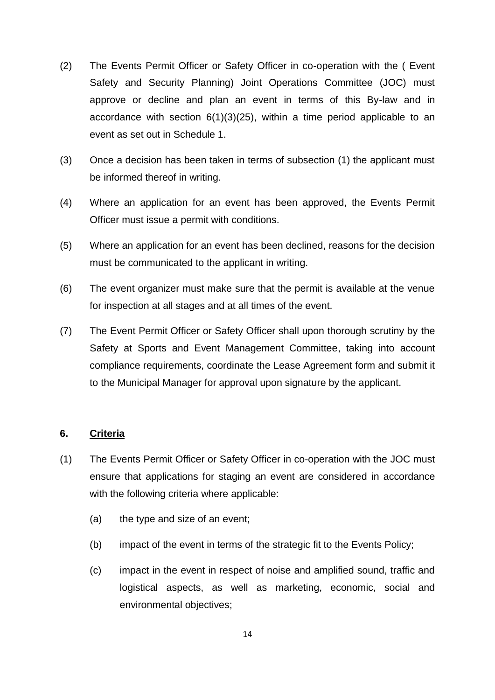- (2) The Events Permit Officer or Safety Officer in co-operation with the ( Event Safety and Security Planning) Joint Operations Committee (JOC) must approve or decline and plan an event in terms of this By-law and in accordance with section  $6(1)(3)(25)$ , within a time period applicable to an event as set out in Schedule 1.
- (3) Once a decision has been taken in terms of subsection (1) the applicant must be informed thereof in writing.
- (4) Where an application for an event has been approved, the Events Permit Officer must issue a permit with conditions.
- (5) Where an application for an event has been declined, reasons for the decision must be communicated to the applicant in writing.
- (6) The event organizer must make sure that the permit is available at the venue for inspection at all stages and at all times of the event.
- (7) The Event Permit Officer or Safety Officer shall upon thorough scrutiny by the Safety at Sports and Event Management Committee, taking into account compliance requirements, coordinate the Lease Agreement form and submit it to the Municipal Manager for approval upon signature by the applicant.

# **6. Criteria**

- (1) The Events Permit Officer or Safety Officer in co-operation with the JOC must ensure that applications for staging an event are considered in accordance with the following criteria where applicable:
	- (a) the type and size of an event;
	- (b) impact of the event in terms of the strategic fit to the Events Policy;
	- (c) impact in the event in respect of noise and amplified sound, traffic and logistical aspects, as well as marketing, economic, social and environmental objectives;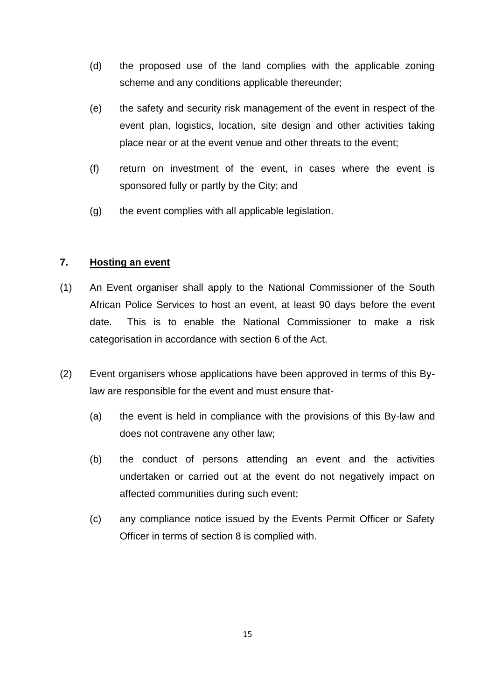- (d) the proposed use of the land complies with the applicable zoning scheme and any conditions applicable thereunder;
- (e) the safety and security risk management of the event in respect of the event plan, logistics, location, site design and other activities taking place near or at the event venue and other threats to the event;
- (f) return on investment of the event, in cases where the event is sponsored fully or partly by the City; and
- (g) the event complies with all applicable legislation.

## **7. Hosting an event**

- (1) An Event organiser shall apply to the National Commissioner of the South African Police Services to host an event, at least 90 days before the event date. This is to enable the National Commissioner to make a risk categorisation in accordance with section 6 of the Act.
- (2) Event organisers whose applications have been approved in terms of this Bylaw are responsible for the event and must ensure that-
	- (a) the event is held in compliance with the provisions of this By-law and does not contravene any other law;
	- (b) the conduct of persons attending an event and the activities undertaken or carried out at the event do not negatively impact on affected communities during such event;
	- (c) any compliance notice issued by the Events Permit Officer or Safety Officer in terms of section 8 is complied with.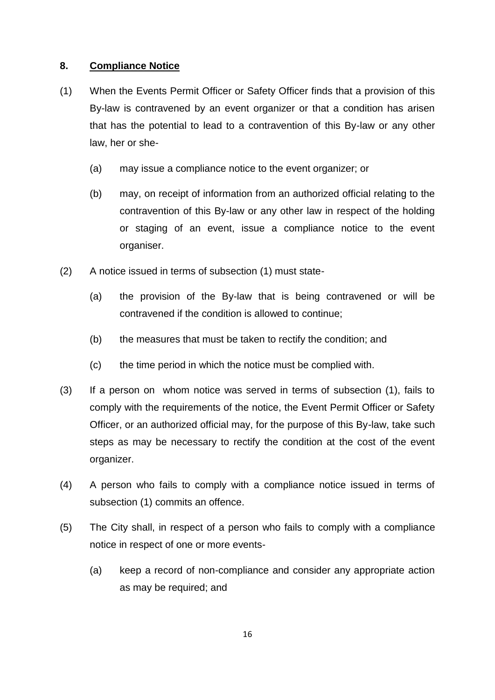## **8. Compliance Notice**

- (1) When the Events Permit Officer or Safety Officer finds that a provision of this By-law is contravened by an event organizer or that a condition has arisen that has the potential to lead to a contravention of this By-law or any other law, her or she-
	- (a) may issue a compliance notice to the event organizer; or
	- (b) may, on receipt of information from an authorized official relating to the contravention of this By-law or any other law in respect of the holding or staging of an event, issue a compliance notice to the event organiser.
- (2) A notice issued in terms of subsection (1) must state-
	- (a) the provision of the By-law that is being contravened or will be contravened if the condition is allowed to continue;
	- (b) the measures that must be taken to rectify the condition; and
	- (c) the time period in which the notice must be complied with.
- (3) If a person on whom notice was served in terms of subsection (1), fails to comply with the requirements of the notice, the Event Permit Officer or Safety Officer, or an authorized official may, for the purpose of this By-law, take such steps as may be necessary to rectify the condition at the cost of the event organizer.
- (4) A person who fails to comply with a compliance notice issued in terms of subsection (1) commits an offence.
- (5) The City shall, in respect of a person who fails to comply with a compliance notice in respect of one or more events-
	- (a) keep a record of non-compliance and consider any appropriate action as may be required; and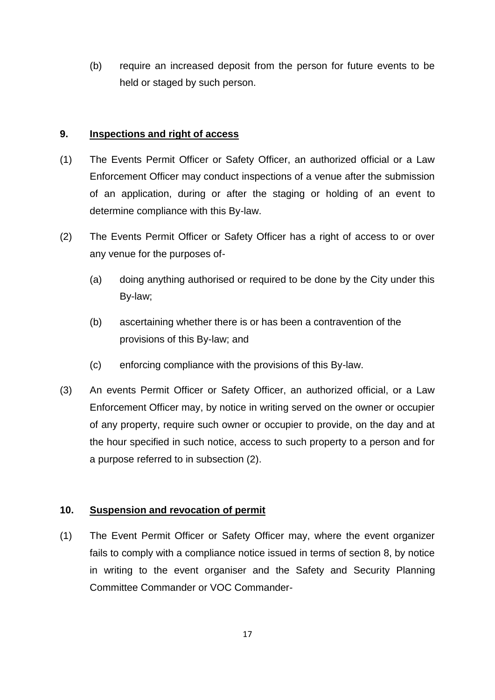(b) require an increased deposit from the person for future events to be held or staged by such person.

#### **9. Inspections and right of access**

- (1) The Events Permit Officer or Safety Officer, an authorized official or a Law Enforcement Officer may conduct inspections of a venue after the submission of an application, during or after the staging or holding of an event to determine compliance with this By-law.
- (2) The Events Permit Officer or Safety Officer has a right of access to or over any venue for the purposes of-
	- (a) doing anything authorised or required to be done by the City under this By-law;
	- (b) ascertaining whether there is or has been a contravention of the provisions of this By-law; and
	- (c) enforcing compliance with the provisions of this By-law.
- (3) An events Permit Officer or Safety Officer, an authorized official, or a Law Enforcement Officer may, by notice in writing served on the owner or occupier of any property, require such owner or occupier to provide, on the day and at the hour specified in such notice, access to such property to a person and for a purpose referred to in subsection (2).

## **10. Suspension and revocation of permit**

(1) The Event Permit Officer or Safety Officer may, where the event organizer fails to comply with a compliance notice issued in terms of section 8, by notice in writing to the event organiser and the Safety and Security Planning Committee Commander or VOC Commander-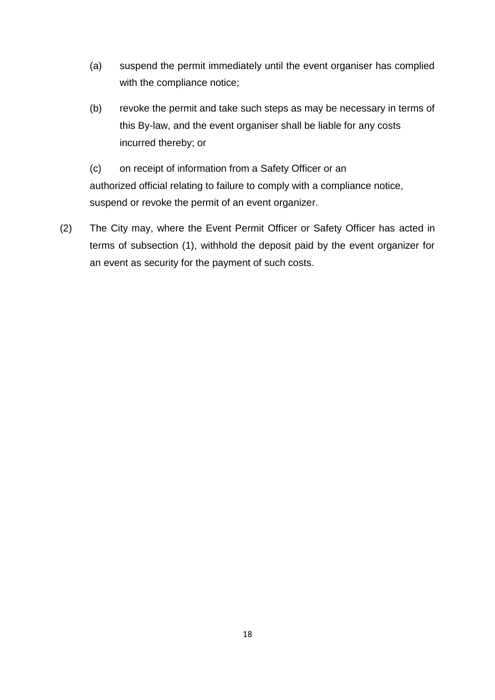- (a) suspend the permit immediately until the event organiser has complied with the compliance notice;
- (b) revoke the permit and take such steps as may be necessary in terms of this By-law, and the event organiser shall be liable for any costs incurred thereby; or
- (c) on receipt of information from a Safety Officer or an authorized official relating to failure to comply with a compliance notice, suspend or revoke the permit of an event organizer.
- (2) The City may, where the Event Permit Officer or Safety Officer has acted in terms of subsection (1), withhold the deposit paid by the event organizer for an event as security for the payment of such costs.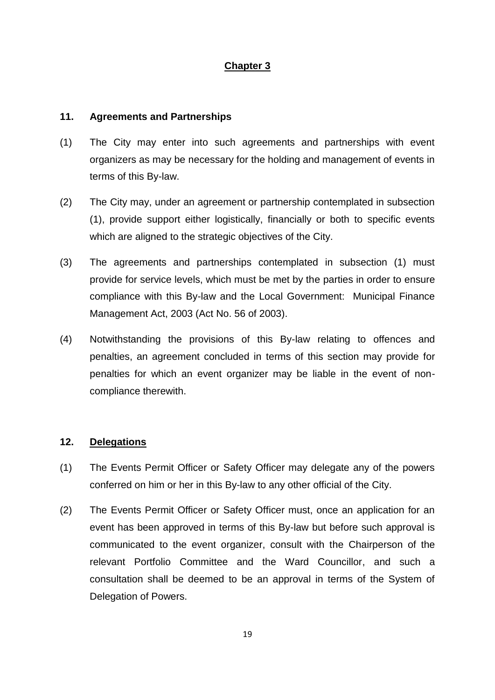# **Chapter 3**

#### **11. Agreements and Partnerships**

- (1) The City may enter into such agreements and partnerships with event organizers as may be necessary for the holding and management of events in terms of this By-law.
- (2) The City may, under an agreement or partnership contemplated in subsection (1), provide support either logistically, financially or both to specific events which are aligned to the strategic objectives of the City.
- (3) The agreements and partnerships contemplated in subsection (1) must provide for service levels, which must be met by the parties in order to ensure compliance with this By-law and the Local Government: Municipal Finance Management Act, 2003 (Act No. 56 of 2003).
- (4) Notwithstanding the provisions of this By-law relating to offences and penalties, an agreement concluded in terms of this section may provide for penalties for which an event organizer may be liable in the event of noncompliance therewith.

# **12. Delegations**

- (1) The Events Permit Officer or Safety Officer may delegate any of the powers conferred on him or her in this By-law to any other official of the City.
- (2) The Events Permit Officer or Safety Officer must, once an application for an event has been approved in terms of this By-law but before such approval is communicated to the event organizer, consult with the Chairperson of the relevant Portfolio Committee and the Ward Councillor, and such a consultation shall be deemed to be an approval in terms of the System of Delegation of Powers.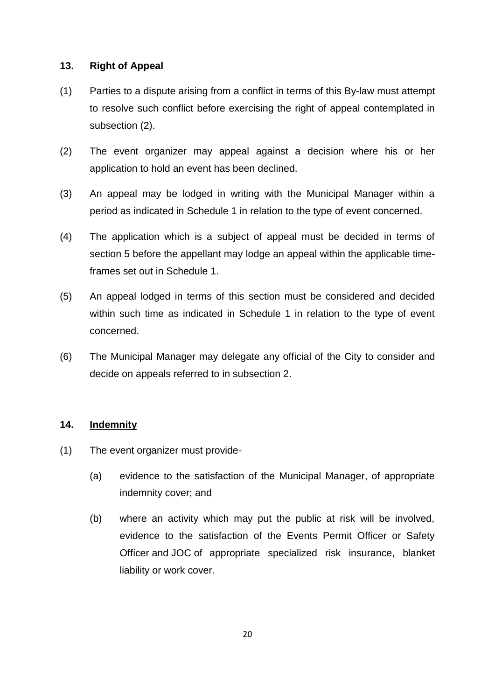## **13. Right of Appeal**

- (1) Parties to a dispute arising from a conflict in terms of this By-law must attempt to resolve such conflict before exercising the right of appeal contemplated in subsection (2).
- (2) The event organizer may appeal against a decision where his or her application to hold an event has been declined.
- (3) An appeal may be lodged in writing with the Municipal Manager within a period as indicated in Schedule 1 in relation to the type of event concerned.
- (4) The application which is a subject of appeal must be decided in terms of section 5 before the appellant may lodge an appeal within the applicable timeframes set out in Schedule 1.
- (5) An appeal lodged in terms of this section must be considered and decided within such time as indicated in Schedule 1 in relation to the type of event concerned.
- (6) The Municipal Manager may delegate any official of the City to consider and decide on appeals referred to in subsection 2.

## **14. Indemnity**

- (1) The event organizer must provide-
	- (a) evidence to the satisfaction of the Municipal Manager, of appropriate indemnity cover; and
	- (b) where an activity which may put the public at risk will be involved, evidence to the satisfaction of the Events Permit Officer or Safety Officer and JOC of appropriate specialized risk insurance, blanket liability or work cover.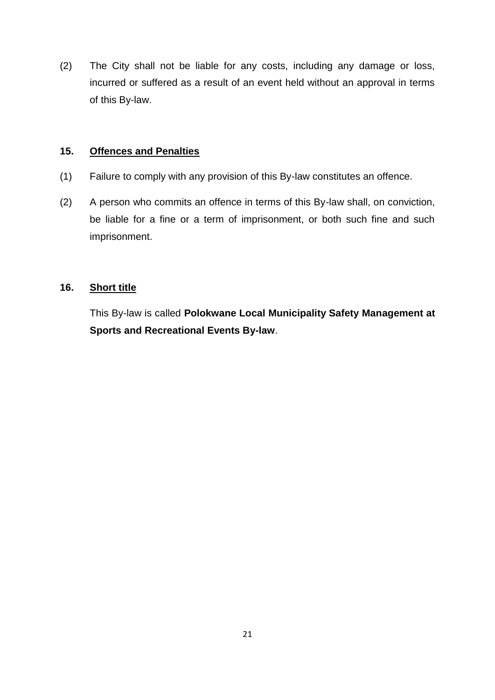(2) The City shall not be liable for any costs, including any damage or loss, incurred or suffered as a result of an event held without an approval in terms of this By-law.

## **15. Offences and Penalties**

- (1) Failure to comply with any provision of this By-law constitutes an offence.
- (2) A person who commits an offence in terms of this By-law shall, on conviction, be liable for a fine or a term of imprisonment, or both such fine and such imprisonment.

# **16. Short title**

This By-law is called **Polokwane Local Municipality Safety Management at Sports and Recreational Events By-law**.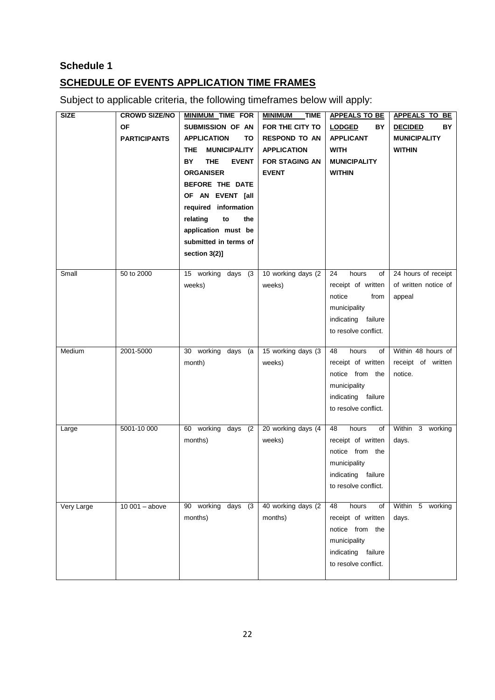# **Schedule 1 SCHEDULE OF EVENTS APPLICATION TIME FRAMES**

Subject to applicable criteria, the following timeframes below will apply:

| <b>SIZE</b> | <b>CROWD SIZE/NO</b> | <b>MINIMUM TIME FOR</b>     | <b>MINIMUM</b><br><b>TIME</b> | <b>APPEALS TO BE</b>           | <b>APPEALS TO BE</b>                        |
|-------------|----------------------|-----------------------------|-------------------------------|--------------------------------|---------------------------------------------|
|             | <b>OF</b>            | SUBMISSION OF AN            | FOR THE CITY TO               | BY<br><b>LODGED</b>            | BY<br><b>DECIDED</b>                        |
|             | <b>PARTICIPANTS</b>  | <b>APPLICATION</b><br>ΤО    | <b>RESPOND TO AN</b>          | <b>APPLICANT</b>               | <b>MUNICIPALITY</b>                         |
|             |                      | <b>MUNICIPALITY</b><br>THE. | <b>APPLICATION</b>            | <b>WITH</b>                    | <b>WITHIN</b>                               |
|             |                      | BY.<br>THE.<br><b>EVENT</b> | <b>FOR STAGING AN</b>         | <b>MUNICIPALITY</b>            |                                             |
|             |                      | <b>ORGANISER</b>            | <b>EVENT</b>                  | <b>WITHIN</b>                  |                                             |
|             |                      | BEFORE THE DATE             |                               |                                |                                             |
|             |                      | OF AN EVENT [all            |                               |                                |                                             |
|             |                      | required information        |                               |                                |                                             |
|             |                      | relating<br>to<br>the       |                               |                                |                                             |
|             |                      | application must be         |                               |                                |                                             |
|             |                      | submitted in terms of       |                               |                                |                                             |
|             |                      | section 3(2)]               |                               |                                |                                             |
|             |                      |                             |                               | hours                          |                                             |
| Small       | 50 to 2000           | 15 working days<br>(3)      | 10 working days (2)           | 24<br>οf<br>receipt of written | 24 hours of receipt<br>of written notice of |
|             |                      | weeks)                      | weeks)                        | notice<br>from                 |                                             |
|             |                      |                             |                               | municipality                   | appeal                                      |
|             |                      |                             |                               | indicating failure             |                                             |
|             |                      |                             |                               | to resolve conflict.           |                                             |
|             |                      |                             |                               |                                |                                             |
| Medium      | 2001-5000            | 30 working days (a          | 15 working days (3)           | 48<br>hours<br>of              | Within 48 hours of                          |
|             |                      | month)                      | weeks)                        | receipt of written             | receipt of written                          |
|             |                      |                             |                               | notice from the                | notice.                                     |
|             |                      |                             |                               | municipality                   |                                             |
|             |                      |                             |                               | indicating failure             |                                             |
|             |                      |                             |                               | to resolve conflict.           |                                             |
| Large       | 5001-10 000          | 60 working days<br>(2)      | 20 working days (4            | 48<br>hours<br>of              | Within 3 working                            |
|             |                      | months)                     | weeks)                        | receipt of written             | days.                                       |
|             |                      |                             |                               | notice from the                |                                             |
|             |                      |                             |                               | municipality                   |                                             |
|             |                      |                             |                               | indicating failure             |                                             |
|             |                      |                             |                               | to resolve conflict.           |                                             |
|             |                      |                             |                               |                                |                                             |
| Very Large  | $10001 - above$      | 90 working days (3)         | 40 working days (2)           | 48<br>hours<br>of              | Within 5 working                            |
|             |                      | months)                     | months)                       | receipt of written             | days.                                       |
|             |                      |                             |                               | notice from the                |                                             |
|             |                      |                             |                               | municipality                   |                                             |
|             |                      |                             |                               | indicating failure             |                                             |
|             |                      |                             |                               | to resolve conflict.           |                                             |
|             |                      |                             |                               |                                |                                             |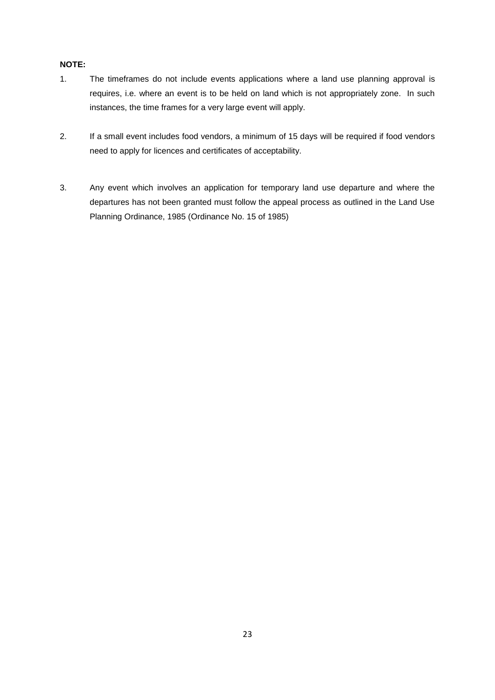#### **NOTE:**

- 1. The timeframes do not include events applications where a land use planning approval is requires, i.e. where an event is to be held on land which is not appropriately zone. In such instances, the time frames for a very large event will apply.
- 2. If a small event includes food vendors, a minimum of 15 days will be required if food vendors need to apply for licences and certificates of acceptability.
- 3. Any event which involves an application for temporary land use departure and where the departures has not been granted must follow the appeal process as outlined in the Land Use Planning Ordinance, 1985 (Ordinance No. 15 of 1985)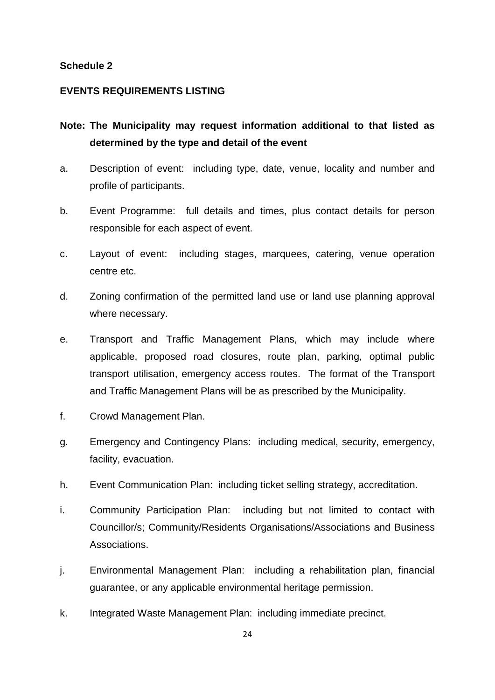#### **Schedule 2**

#### **EVENTS REQUIREMENTS LISTING**

- **Note: The Municipality may request information additional to that listed as determined by the type and detail of the event**
- a. Description of event: including type, date, venue, locality and number and profile of participants.
- b. Event Programme: full details and times, plus contact details for person responsible for each aspect of event.
- c. Layout of event: including stages, marquees, catering, venue operation centre etc.
- d. Zoning confirmation of the permitted land use or land use planning approval where necessary.
- e. Transport and Traffic Management Plans, which may include where applicable, proposed road closures, route plan, parking, optimal public transport utilisation, emergency access routes. The format of the Transport and Traffic Management Plans will be as prescribed by the Municipality.
- f. Crowd Management Plan.
- g. Emergency and Contingency Plans: including medical, security, emergency, facility, evacuation.
- h. Event Communication Plan: including ticket selling strategy, accreditation.
- i. Community Participation Plan: including but not limited to contact with Councillor/s; Community/Residents Organisations/Associations and Business Associations.
- j. Environmental Management Plan: including a rehabilitation plan, financial guarantee, or any applicable environmental heritage permission.
- k. Integrated Waste Management Plan: including immediate precinct.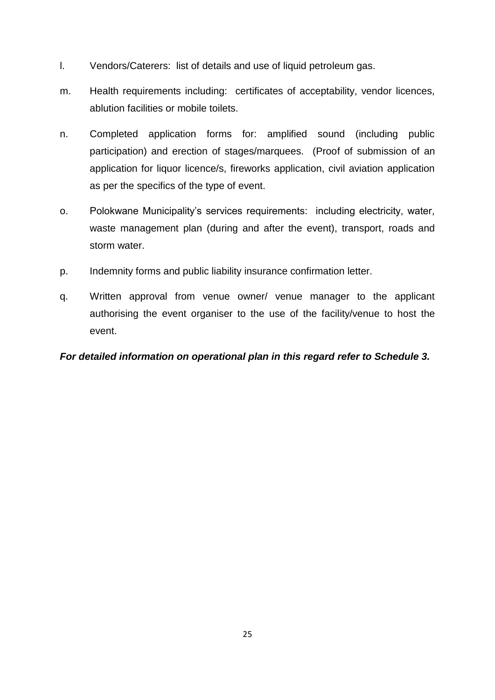- l. Vendors/Caterers: list of details and use of liquid petroleum gas.
- m. Health requirements including: certificates of acceptability, vendor licences, ablution facilities or mobile toilets.
- n. Completed application forms for: amplified sound (including public participation) and erection of stages/marquees. (Proof of submission of an application for liquor licence/s, fireworks application, civil aviation application as per the specifics of the type of event.
- o. Polokwane Municipality's services requirements: including electricity, water, waste management plan (during and after the event), transport, roads and storm water.
- p. Indemnity forms and public liability insurance confirmation letter.
- q. Written approval from venue owner/ venue manager to the applicant authorising the event organiser to the use of the facility/venue to host the event.

# *For detailed information on operational plan in this regard refer to Schedule 3.*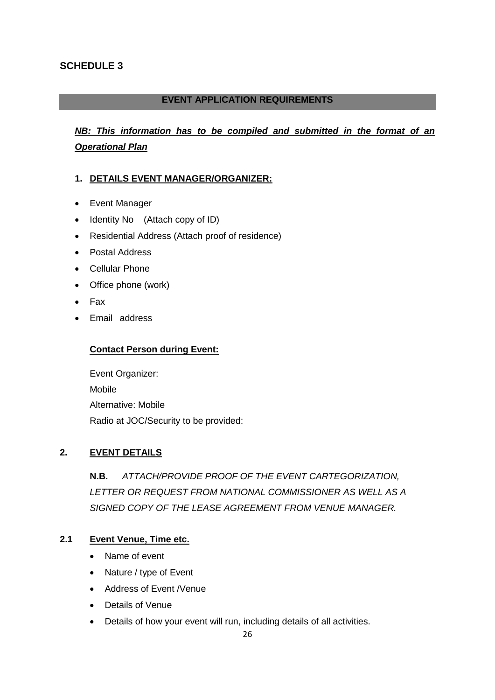## **SCHEDULE 3**

## **EVENT APPLICATION REQUIREMENTS**

# *NB: This information has to be compiled and submitted in the format of an Operational Plan*

#### **1. DETAILS EVENT MANAGER/ORGANIZER:**

- Event Manager
- Identity No (Attach copy of ID)
- Residential Address (Attach proof of residence)
- Postal Address
- Cellular Phone
- Office phone (work)
- Fax
- Email address

#### **Contact Person during Event:**

Event Organizer: Mobile Alternative: Mobile Radio at JOC/Security to be provided:

# **2. EVENT DETAILS**

**N.B.** *ATTACH/PROVIDE PROOF OF THE EVENT CARTEGORIZATION, LETTER OR REQUEST FROM NATIONAL COMMISSIONER AS WELL AS A SIGNED COPY OF THE LEASE AGREEMENT FROM VENUE MANAGER.*

#### **2.1 Event Venue, Time etc.**

- Name of event
- Nature / type of Event
- Address of Event /Venue
- Details of Venue
- Details of how your event will run, including details of all activities.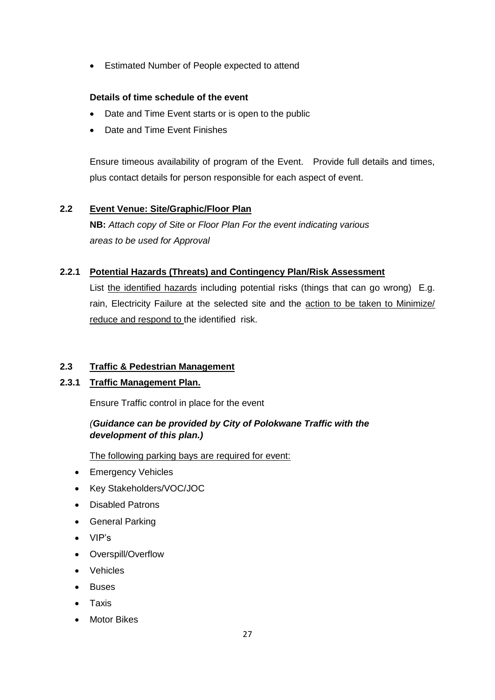Estimated Number of People expected to attend

#### **Details of time schedule of the event**

- Date and Time Event starts or is open to the public
- Date and Time Event Finishes

Ensure timeous availability of program of the Event. Provide full details and times, plus contact details for person responsible for each aspect of event.

#### **2.2 Event Venue: Site/Graphic/Floor Plan**

**NB:** *Attach copy of Site or Floor Plan For the event indicating various areas to be used for Approval*

#### **2.2.1 Potential Hazards (Threats) and Contingency Plan/Risk Assessment**

List the identified hazards including potential risks (things that can go wrong) E.g. rain, Electricity Failure at the selected site and the action to be taken to Minimize/ reduce and respond to the identified risk.

#### **2.3 Traffic & Pedestrian Management**

#### **2.3.1 Traffic Management Plan.**

Ensure Traffic control in place for the event

# *(Guidance can be provided by City of Polokwane Traffic with the development of this plan.)*

The following parking bays are required for event:

- Emergency Vehicles
- Key Stakeholders/VOC/JOC
- Disabled Patrons
- General Parking
- VIP's
- Overspill/Overflow
- Vehicles
- Buses
- Taxis
- **•** Motor Bikes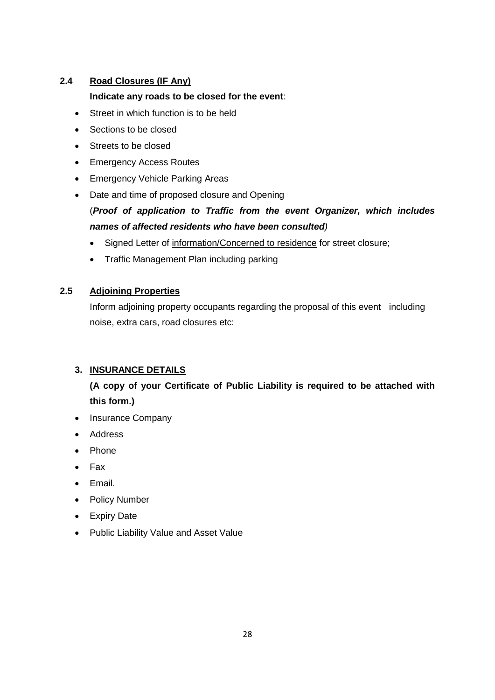# **2.4 Road Closures (IF Any)**

#### **Indicate any roads to be closed for the event**:

- Street in which function is to be held
- Sections to be closed
- Streets to be closed
- Emergency Access Routes
- Emergency Vehicle Parking Areas
- Date and time of proposed closure and Opening

# (*Proof of application to Traffic from the event Organizer, which includes names of affected residents who have been consulted)*

- Signed Letter of information/Concerned to residence for street closure;
- Traffic Management Plan including parking

## **2.5 Adjoining Properties**

Inform adjoining property occupants regarding the proposal of this event including noise, extra cars, road closures etc:

# **3. INSURANCE DETAILS**

# **(A copy of your Certificate of Public Liability is required to be attached with this form.)**

- Insurance Company
- Address
- Phone
- Fax
- Email.
- Policy Number
- Expiry Date
- Public Liability Value and Asset Value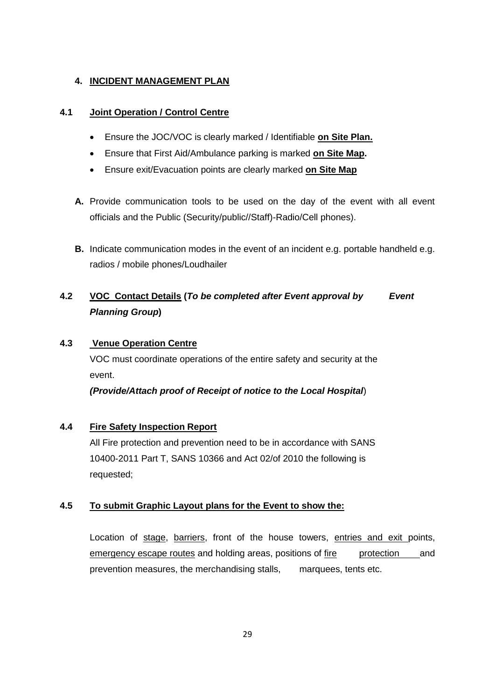#### **4. INCIDENT MANAGEMENT PLAN**

#### **4.1 Joint Operation / Control Centre**

- Ensure the JOC/VOC is clearly marked / Identifiable **on Site Plan.**
- Ensure that First Aid/Ambulance parking is marked **on Site Map.**
- Ensure exit/Evacuation points are clearly marked **on Site Map**
- **A.** Provide communication tools to be used on the day of the event with all event officials and the Public (Security/public//Staff)-Radio/Cell phones).
- **B.** Indicate communication modes in the event of an incident e.g. portable handheld e.g. radios / mobile phones/Loudhailer

# **4.2 VOC Contact Details (***To be completed after Event approval by Event Planning Group***)**

## **4.3 Venue Operation Centre**

VOC must coordinate operations of the entire safety and security at the event.

*(Provide/Attach proof of Receipt of notice to the Local Hospital*)

## **4.4 Fire Safety Inspection Report**

All Fire protection and prevention need to be in accordance with SANS 10400-2011 Part T, SANS 10366 and Act 02/of 2010 the following is requested;

## **4.5 To submit Graphic Layout plans for the Event to show the:**

Location of stage, barriers, front of the house towers, entries and exit points, emergency escape routes and holding areas, positions of fire protection and prevention measures, the merchandising stalls, marquees, tents etc.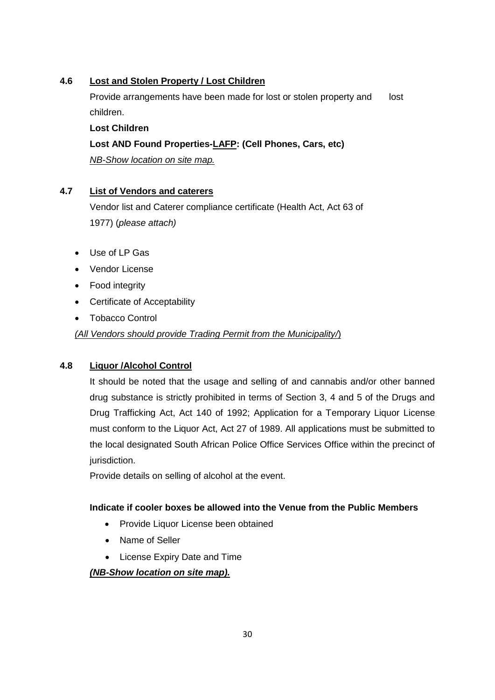## **4.6 Lost and Stolen Property / Lost Children**

Provide arrangements have been made for lost or stolen property and lost children.

**Lost Children Lost AND Found Properties-LAFP: (Cell Phones, Cars, etc)** *NB-Show location on site map.*

#### **4.7 List of Vendors and caterers**

Vendor list and Caterer compliance certificate (Health Act, Act 63 of 1977) (*please attach)* 

- Use of LP Gas
- Vendor License
- Food integrity
- Certificate of Acceptability
- Tobacco Control

*(All Vendors should provide Trading Permit from the Municipality/*)

## **4.8 Liquor /Alcohol Control**

It should be noted that the usage and selling of and cannabis and/or other banned drug substance is strictly prohibited in terms of Section 3, 4 and 5 of the Drugs and Drug Trafficking Act, Act 140 of 1992; Application for a Temporary Liquor License must conform to the Liquor Act, Act 27 of 1989. All applications must be submitted to the local designated South African Police Office Services Office within the precinct of jurisdiction.

Provide details on selling of alcohol at the event.

#### **Indicate if cooler boxes be allowed into the Venue from the Public Members**

- Provide Liquor License been obtained
- Name of Seller
- License Expiry Date and Time

*(NB-Show location on site map).*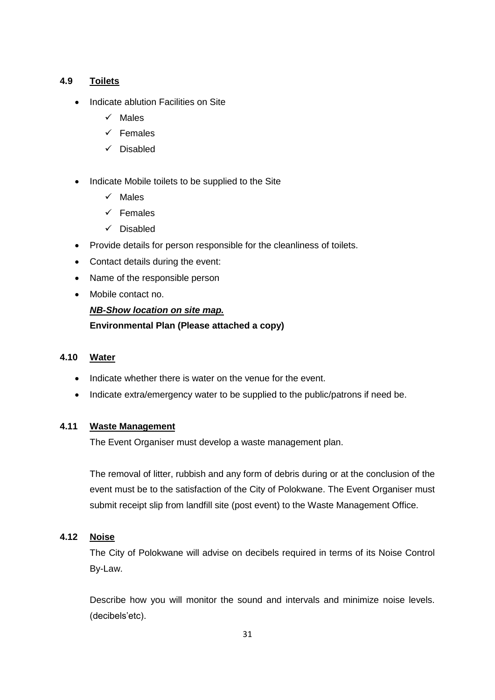#### **4.9 Toilets**

- Indicate ablution Facilities on Site
	- $\checkmark$  Males
	- $\checkmark$  Females
	- $\checkmark$  Disabled
- Indicate Mobile toilets to be supplied to the Site
	- $\checkmark$  Males
	- $\checkmark$  Females
	- $\checkmark$  Disabled
- Provide details for person responsible for the cleanliness of toilets.
- Contact details during the event:
- Name of the responsible person
- Mobile contact no.

# *NB-Show location on site map.* **Environmental Plan (Please attached a copy)**

#### **4.10 Water**

- Indicate whether there is water on the venue for the event.
- Indicate extra/emergency water to be supplied to the public/patrons if need be.

#### **4.11 Waste Management**

The Event Organiser must develop a waste management plan.

The removal of litter, rubbish and any form of debris during or at the conclusion of the event must be to the satisfaction of the City of Polokwane. The Event Organiser must submit receipt slip from landfill site (post event) to the Waste Management Office.

#### **4.12 Noise**

The City of Polokwane will advise on decibels required in terms of its Noise Control By-Law.

Describe how you will monitor the sound and intervals and minimize noise levels. (decibels'etc).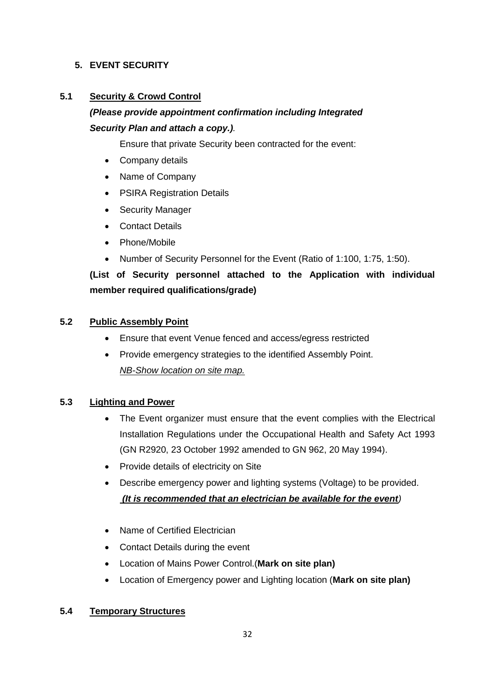## **5. EVENT SECURITY**

#### **5.1 Security & Crowd Control**

# *(Please provide appointment confirmation including Integrated Security Plan and attach a copy.).*

Ensure that private Security been contracted for the event:

- Company details
- Name of Company
- PSIRA Registration Details
- Security Manager
- Contact Details
- Phone/Mobile
- Number of Security Personnel for the Event (Ratio of 1:100, 1:75, 1:50).

# **(List of Security personnel attached to the Application with individual member required qualifications/grade)**

#### **5.2 Public Assembly Point**

- Ensure that event Venue fenced and access/egress restricted
- Provide emergency strategies to the identified Assembly Point. *NB-Show location on site map.*

#### **5.3 Lighting and Power**

- The Event organizer must ensure that the event complies with the Electrical Installation Regulations under the Occupational Health and Safety Act 1993 (GN R2920, 23 October 1992 amended to GN 962, 20 May 1994).
- Provide details of electricity on Site
- Describe emergency power and lighting systems (Voltage) to be provided. *(It is recommended that an electrician be available for the event)*
- Name of Certified Electrician
- Contact Details during the event
- Location of Mains Power Control.(**Mark on site plan)**
- Location of Emergency power and Lighting location (**Mark on site plan)**

#### **5.4 Temporary Structures**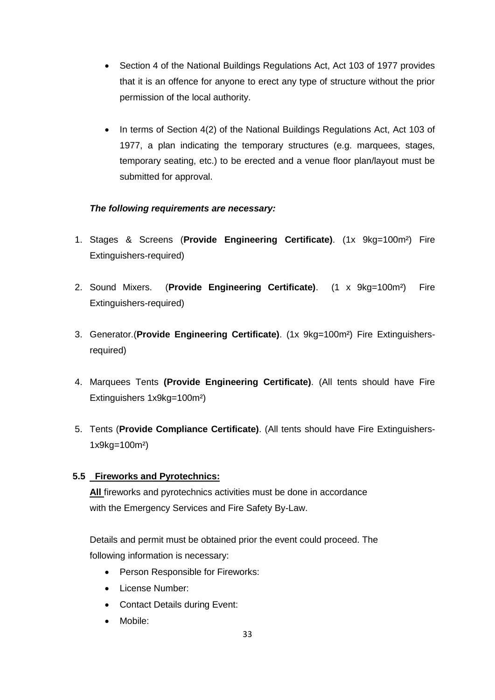- Section 4 of the National Buildings Regulations Act, Act 103 of 1977 provides that it is an offence for anyone to erect any type of structure without the prior permission of the local authority.
- In terms of Section 4(2) of the National Buildings Regulations Act, Act 103 of 1977, a plan indicating the temporary structures (e.g. marquees, stages, temporary seating, etc.) to be erected and a venue floor plan/layout must be submitted for approval.

## *The following requirements are necessary:*

- 1. Stages & Screens (**Provide Engineering Certificate)**. (1x 9kg=100m²) Fire Extinguishers-required)
- 2. Sound Mixers. (**Provide Engineering Certificate)**. (1 x 9kg=100m²) Fire Extinguishers-required)
- 3. Generator.(**Provide Engineering Certificate)**. (1x 9kg=100m²) Fire Extinguishersrequired)
- 4. Marquees Tents **(Provide Engineering Certificate)**. (All tents should have Fire Extinguishers 1x9kg=100m²)
- 5. Tents (**Provide Compliance Certificate)**. (All tents should have Fire Extinguishers-1x9kg=100m²)

# **5.5 Fireworks and Pyrotechnics:**

**All** fireworks and pyrotechnics activities must be done in accordance with the Emergency Services and Fire Safety By-Law.

Details and permit must be obtained prior the event could proceed. The following information is necessary:

- Person Responsible for Fireworks:
- License Number:
- Contact Details during Event:
- Mobile: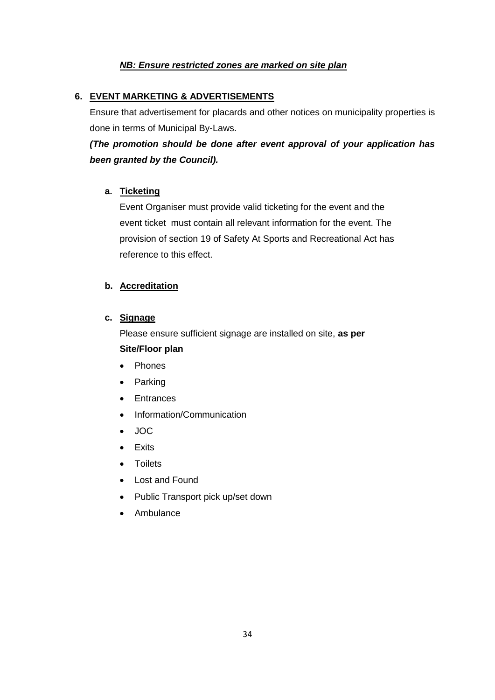#### *NB: Ensure restricted zones are marked on site plan*

#### **6. EVENT MARKETING & ADVERTISEMENTS**

Ensure that advertisement for placards and other notices on municipality properties is done in terms of Municipal By-Laws.

# *(The promotion should be done after event approval of your application has been granted by the Council).*

#### **a. Ticketing**

Event Organiser must provide valid ticketing for the event and the event ticket must contain all relevant information for the event. The provision of section 19 of Safety At Sports and Recreational Act has reference to this effect.

#### **b. Accreditation**

#### **c. Signage**

Please ensure sufficient signage are installed on site, **as per Site/Floor plan**

- Phones
- Parking
- Entrances
- Information/Communication
- JOC
- Exits
- Toilets
- Lost and Found
- Public Transport pick up/set down
- Ambulance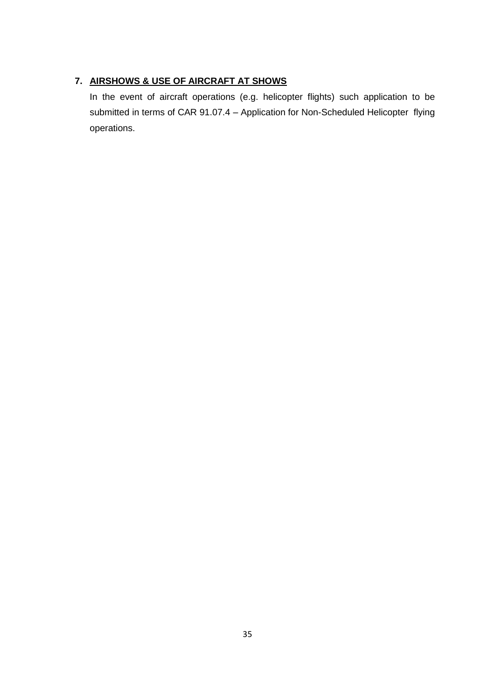# **7. AIRSHOWS & USE OF AIRCRAFT AT SHOWS**

In the event of aircraft operations (e.g. helicopter flights) such application to be submitted in terms of CAR 91.07.4 – Application for Non-Scheduled Helicopter flying operations.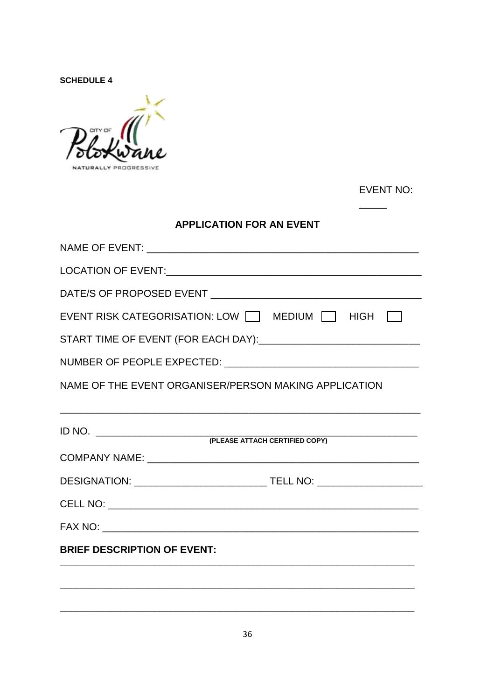**SCHEDULE 4** 

in a NATURALLY PROGRESSIVE

EVENT NO:

 $\overline{\phantom{0}}$ 

# **APPLICATION FOR AN EVENT**

| EVENT RISK CATEGORISATION: LOW IT MEDIUM T HIGH       |  |  |  |  |  |  |  |  |
|-------------------------------------------------------|--|--|--|--|--|--|--|--|
|                                                       |  |  |  |  |  |  |  |  |
|                                                       |  |  |  |  |  |  |  |  |
| NAME OF THE EVENT ORGANISER/PERSON MAKING APPLICATION |  |  |  |  |  |  |  |  |
|                                                       |  |  |  |  |  |  |  |  |
|                                                       |  |  |  |  |  |  |  |  |
|                                                       |  |  |  |  |  |  |  |  |
|                                                       |  |  |  |  |  |  |  |  |
|                                                       |  |  |  |  |  |  |  |  |
|                                                       |  |  |  |  |  |  |  |  |
| <b>BRIEF DESCRIPTION OF EVENT:</b>                    |  |  |  |  |  |  |  |  |
|                                                       |  |  |  |  |  |  |  |  |
|                                                       |  |  |  |  |  |  |  |  |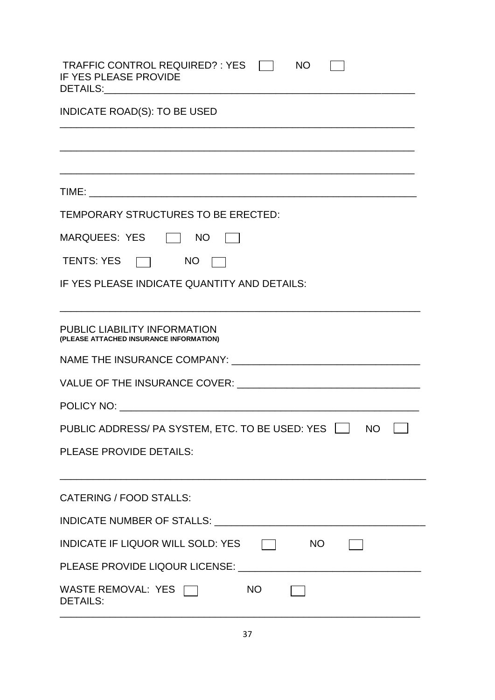| TRAFFIC CONTROL REQUIRED? : YES<br><b>NO</b><br>IF YES PLEASE PROVIDE          |  |  |  |  |  |
|--------------------------------------------------------------------------------|--|--|--|--|--|
| <b>INDICATE ROAD(S): TO BE USED</b>                                            |  |  |  |  |  |
|                                                                                |  |  |  |  |  |
|                                                                                |  |  |  |  |  |
|                                                                                |  |  |  |  |  |
| TEMPORARY STRUCTURES TO BE ERECTED:                                            |  |  |  |  |  |
| MARQUEES: YES   NO                                                             |  |  |  |  |  |
| TENTS: YES TV NO                                                               |  |  |  |  |  |
| IF YES PLEASE INDICATE QUANTITY AND DETAILS:                                   |  |  |  |  |  |
| <b>PUBLIC LIABILITY INFORMATION</b><br>(PLEASE ATTACHED INSURANCE INFORMATION) |  |  |  |  |  |
|                                                                                |  |  |  |  |  |
|                                                                                |  |  |  |  |  |
|                                                                                |  |  |  |  |  |
| PUBLIC ADDRESS/ PA SYSTEM, ETC. TO BE USED: YES □ NO                           |  |  |  |  |  |
| PLEASE PROVIDE DETAILS:                                                        |  |  |  |  |  |
| <b>CATERING / FOOD STALLS:</b>                                                 |  |  |  |  |  |
|                                                                                |  |  |  |  |  |
| INDICATE IF LIQUOR WILL SOLD: YES $\Box$ NO                                    |  |  |  |  |  |
|                                                                                |  |  |  |  |  |
| WASTE REMOVAL: YES<br>NO<br><b>DETAILS:</b>                                    |  |  |  |  |  |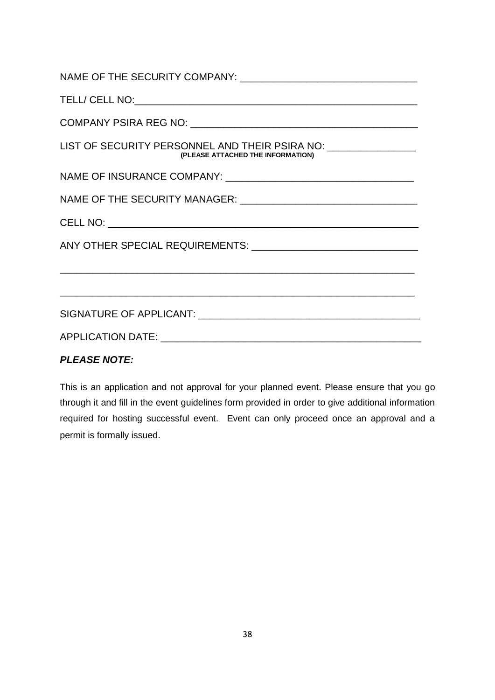| LIST OF SECURITY PERSONNEL AND THEIR PSIRA NO: _________________<br>(PLEASE ATTACHED THE INFORMATION) |
|-------------------------------------------------------------------------------------------------------|
|                                                                                                       |
|                                                                                                       |
|                                                                                                       |
|                                                                                                       |
| APPLICATION DATE: A PRODUCT AND A PRODUCT A PRODUCT AND A PRODUCT AND A PRODUCT A PRODUCT.            |
|                                                                                                       |

# *PLEASE NOTE:*

This is an application and not approval for your planned event. Please ensure that you go through it and fill in the event guidelines form provided in order to give additional information required for hosting successful event. Event can only proceed once an approval and a permit is formally issued.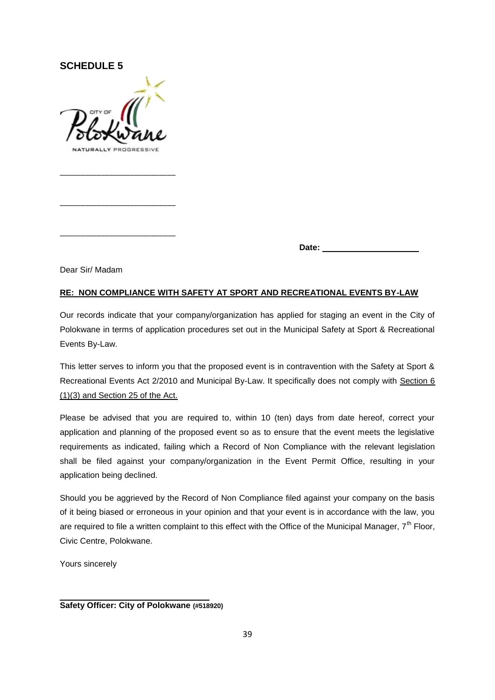#### **SCHEDULE 5**

\_\_\_\_\_\_\_\_\_\_\_\_\_\_\_\_\_\_\_\_\_\_\_\_\_\_\_\_

\_\_\_\_\_\_\_\_\_\_\_\_\_\_\_\_\_\_\_\_\_\_\_\_\_\_\_\_

\_\_\_\_\_\_\_\_\_\_\_\_\_\_\_\_\_\_\_\_\_\_\_\_\_\_\_\_

**Date:** 

Dear Sir/ Madam

#### **RE: NON COMPLIANCE WITH SAFETY AT SPORT AND RECREATIONAL EVENTS BY-LAW**

Our records indicate that your company/organization has applied for staging an event in the City of Polokwane in terms of application procedures set out in the Municipal Safety at Sport & Recreational Events By-Law.

This letter serves to inform you that the proposed event is in contravention with the Safety at Sport & Recreational Events Act 2/2010 and Municipal By-Law. It specifically does not comply with Section 6 (1)(3) and Section 25 of the Act.

Please be advised that you are required to, within 10 (ten) days from date hereof, correct your application and planning of the proposed event so as to ensure that the event meets the legislative requirements as indicated, failing which a Record of Non Compliance with the relevant legislation shall be filed against your company/organization in the Event Permit Office, resulting in your application being declined.

Should you be aggrieved by the Record of Non Compliance filed against your company on the basis of it being biased or erroneous in your opinion and that your event is in accordance with the law, you are required to file a written complaint to this effect with the Office of the Municipal Manager,  $7<sup>th</sup>$  Floor, Civic Centre, Polokwane.

Yours sincerely

**Safety Officer: City of Polokwane (#518920)**